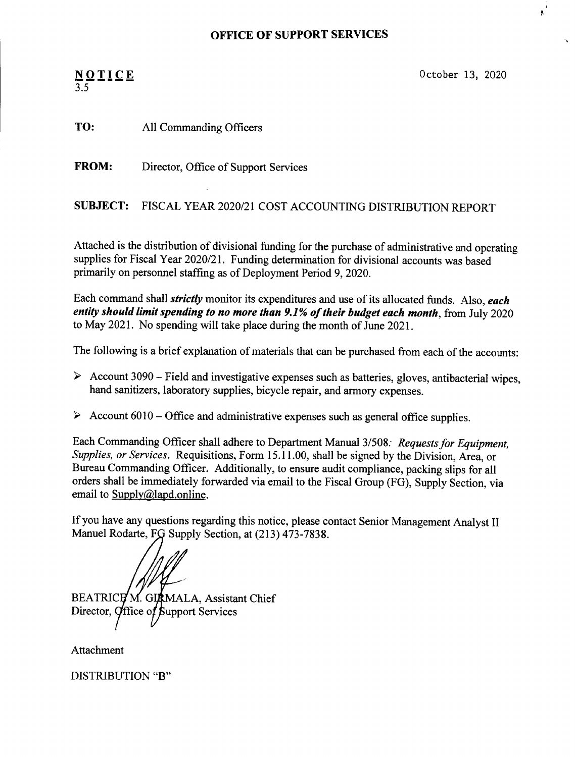## **OFFICE OF SUPPORT SERVICES**

## NOTI 3.5

October 13, 2020

TO: All Commanding Officers

FROM: Director, Office of Support Services

SUBJECT: FISCAL YEAR 2020/21 COST ACCOUNTING DISTRIBUTION REPORT

Attached is the distribution of divisional funding for the purchase of administrative and operating supplies for Fiscal Year 2020/21. Funding determination for divisional accounts was based primarily on personnel staffing as of Deployment Period 9, 2020.

Each command shall *strictly* monitor its expenditures and use of its allocated funds. Also, *each entity should limit spending to no more than* 9.1% *of their budget each month,* from July 2020 to May 2021. No spending will take place during the month of June 2021.

The following is a brief explanation of materials that can be purchased from each of the accounts:

- $\blacktriangleright$  Account 3090 Field and investigative expenses such as batteries, gloves, antibacterial wipes, hand sanitizers, laboratory supplies, bicycle repair, and armory expenses.
- $\triangleright$  Account 6010 Office and administrative expenses such as general office supplies.

Each Commanding Officer shall adhere to Department Manual 3/508: Requests for *Equipment*, *Supplies, or Services.* Requisitions, Form 15.11.00, shall be signed by the Division, Area, or Bureau Commanding Officer. Additionally, to ensure audit compliance, packing slips for all orders shall be immediately forwarded via email to the Fiscal Group (FG), Supply Section, via email to Supply@lapd.online.

If you have any questions regarding this notice, please contact Senior Management Analyst II Manuel Rodarte, FG Supply Section, at (213) 473-7838.

BEATRICH M. GIRMALA, Assistant Chief Director, Office of Support Services

Attachment

DISTRIBUTION "B"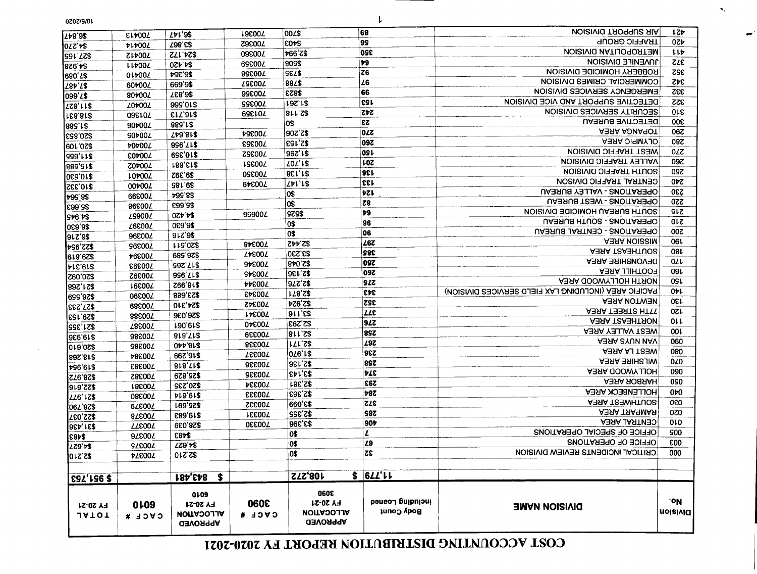## COST ACCOUNTING DISTRIBUTION REPORT FY 2020-2021

| <b>FY 20-21</b><br><b>JATOT</b> | 0 <sub>109</sub><br>$C$ <b>ACF #</b> | 0109<br><b>FY 20-21</b><br><b>NOLLACOLLA</b><br><b>APPROVED</b> | 3090<br>CACE #       | 3080<br><b>FY 20-21</b><br><b>NOITACOLIA</b><br><b>APPROVED</b> | <b>peueo</b> Buipniou<br><b>Body Count</b> | <b>DIVISION NAME</b>                                 | .ok<br><b>UOISIVIO</b>  |  |
|---------------------------------|--------------------------------------|-----------------------------------------------------------------|----------------------|-----------------------------------------------------------------|--------------------------------------------|------------------------------------------------------|-------------------------|--|
| <b>\$ 951,753</b>               |                                      | <b>184, £481</b><br>$\ddot{\bm{s}}$                             |                      | 108,272                                                         | $$$ 6 $LL'$                                |                                                      |                         |  |
| \$2,210                         | <b>ATEOOT</b>                        | <b>S2.210</b>                                                   |                      | 0\$                                                             | $ \overline{z}\overline{z} $               | CRITICAL INCIDENTS REVIEW DIVISION                   | 000                     |  |
| <b>ZZ9'7\$</b>                  | <b>SZE00Z</b>                        | <b>ZZ9'7\$</b>                                                  |                      | los                                                             | 29                                         | OFFICE OF OPERATIONS                                 | <b>£00</b>              |  |
| IE8ÞS                           | 97£00T                               | <b>EBA2</b>                                                     |                      | 0\$                                                             | L                                          | OFFICE OF SPECIAL OPERATIONS                         | 900                     |  |
| <b>9SA, 158</b>                 | <b>TTEOOT</b>                        | <b>828,039</b>                                                  | 700330               | 83'396                                                          | 90b                                        | <b>CENTRAL AREA</b>                                  | 0 <sub>10</sub>         |  |
| <b>S22,037</b>                  | 87£007                               | £89.61\$                                                        | <b>LEE007</b>        | \$2,355                                                         | S8Z                                        | A3SA TSASMAS                                         | 070                     |  |
| 06Z'9Z\$                        | 62800Z                               | \$25,691                                                        | 700332               | 83'066                                                          | 27E                                        | <b>ABAA TSBWHTUOS</b>                                | 060                     |  |
| <b>LL6'IZ\$</b>                 | 08E00Z                               | <b>PL9'6L\$</b>                                                 | <b>SEE007</b>        | <b>ESE,SE</b>                                                   | 78Z                                        | <b>HOLLENBECK AREA</b>                               | 010                     |  |
| <b>919,SS\$</b>                 | <b>186007</b>                        | \$20,235                                                        | <b>ASE007</b>        | <b>185,S\$</b>                                                  | 282                                        | <b>A3RA ROBAAH</b>                                   | 090                     |  |
| S78,852                         | <b>Z8E004</b>                        | 825,829                                                         | <b>SEE004</b>        | <b>SA1.82</b>                                                   | 77E                                        | <b>ABRA GOOWYJJOH</b>                                | 090                     |  |
| <b>vs6'6L\$</b>                 | <b>C8E004</b>                        | 818, TI <sub>2</sub>                                            | 96600Z               | 82,136                                                          | 328                                        | <b>WILSHIRE AREA</b>                                 | 020                     |  |
| 89S,81\$                        | <b>700344</b>                        | 846,299                                                         | <b><i>LEE00L</i></b> | <b>OZ6'L\$</b>                                                  | <b>922</b>                                 | <b>ABST LA AREA</b>                                  | 080                     |  |
| <b>0ra,02\$</b>                 | <b>700385</b>                        | <b>OPP,812</b>                                                  | <b>866007</b>        | <b>ILL'Z\$</b>                                                  | 792                                        | <b>ASAA SYUV NAV</b>                                 | 060                     |  |
| \$10,930                        | 98£00Z                               | 818, TIZ                                                        | 700339               | 811,S\$                                                         | <b>897</b>                                 | <b>NEST VALLEY AREA</b>                              | <b>001</b>              |  |
| <b>SSE, 1S\$</b>                | <b>786007</b>                        | <b>180,018</b>                                                  | 06600Z               | <b>E67'Z\$</b>                                                  | 917                                        | <b>A3RA TSA3HTRON</b>                                | 011                     |  |
| <b>S29,153</b>                  | 88£00Z                               | 950,036                                                         | <b>LIE004</b>        | 1911'ES                                                         | <b>LLE</b>                                 | <b>ABAA TEEET AREA</b>                               | 120                     |  |
| <b>SES, 733</b>                 | 68£00Z                               | <b>S24,310</b>                                                  | 700342               | <b>PZ6'Z\$</b>                                                  | <b>ZSE</b>                                 | <b>AEWTON AREA</b>                                   | <b>OE1</b>              |  |
| 856,559                         | 06800L                               | 889, 6S\$                                                       | <b>EAE007</b>        | <b>178,S\$</b>                                                  | 343                                        | PACIFIC AREA (INCLUDING LAX FIELD SERVICES DIVISION) | $0+1$                   |  |
| 892,128                         | <b>16600L</b>                        | \$18,992                                                        | <b>AAE007</b>        | <b>97.276</b>                                                   | <b>SLZ</b>                                 | <b>ABRA GOOWYJJOH HTROM</b>                          | OSL                     |  |
| \$20,092                        | <b>Z6E00Z</b>                        | 996'ZIS                                                         | <b>SAE007</b>        | <b>32,136</b>                                                   | <b>097</b>                                 | <b>FOOTHILL AREA</b>                                 | 09 <sub>L</sub>         |  |
| PIE'61\$                        | 700393                               | <b>392, 712</b>                                                 | 94600L               | 840,S\$                                                         | <b>OSZ</b>                                 | <b>DEVONSHIRE AREA</b>                               | OLL                     |  |
| 829,819                         | <b>700344</b>                        | 826,589                                                         | <b>ZPEOOZ</b>        | <b>SS,230</b>                                                   | 385                                        | <b>A3RA TSA3HTUOS</b>                                | <b>081</b>              |  |
| <b>PS6'ZZ\$</b>                 | S6600Z                               | LLS 07\$                                                        | 84600T               | 52,442                                                          | 797                                        | <b>ABAA NOISSIM</b>                                  | <b>061</b>              |  |
| 1912,88                         | 96E00Z                               | 912,82                                                          |                      | 0\$                                                             | 06                                         | OPERATIONS - CENTRAL BUREAU                          | 200                     |  |
| 86.630]                         | <b>700397</b>                        | 069,63                                                          |                      | <b>O\$</b>                                                      | 96                                         | UABRUS - SUUTH BUREAU                                | 0 <sub>k</sub>          |  |
| <b>St6'r\$</b>                  | <b>L9900L</b>                        | 0ZP'P\$                                                         | 99900Z               | 8259                                                            | 79                                         | SOUTH BUREAU HOMICIDE DIVISION                       | <b>STS</b>              |  |
| 85,663                          | 86C00Z                               | £5,663                                                          |                      | 0\$                                                             | 78                                         | <b>UPERATIONS - WEST BUREAU</b>                      | 220                     |  |
| <del>⊮</del> 99'8\$             | 66£00Z                               | 48,564                                                          |                      | 0\$                                                             | ヤてい                                        | UABRUS - VALLEY BUREAU                               | 230                     |  |
| \$10'335                        | 00*00Z                               | \$9,185                                                         | 67800Z               | 251'1S                                                          | ।33∣                                       | <b>CENTRAL TRAFFIC DIVISON</b>                       | 0 <sub>b</sub> z        |  |
| \$10.530                        | <b>LOD002</b>                        | <b>260'6\$</b>                                                  | 09E00Z               | <b>BEL, 12</b>                                                  | 13e                                        | <b>SOUTH TRAFFIC DIVISION</b>                        | <b>097</b>              |  |
| <b>S15,588</b>                  | Z04007                               | <b>188, E12</b>                                                 | <b>LSE004</b>        | <b>ZOZ'1\$</b>                                                  | <b>102</b>                                 | <b>VALLEY TRAFFIC DIVISION</b>                       | 097                     |  |
| 811'929                         | <b>E04007</b>                        | <b>696,018</b>                                                  | 700352               | 96Z'L\$                                                         | <b>091</b>                                 | <b>WEST TRAFFIC DIVISION</b>                         | 0ZZ                     |  |
| 820.109                         | <b>404007</b>                        | 996'ZL\$                                                        | <b>20033</b>         | <b>S2,153</b>                                                   | <b>09Z</b>                                 | <b>OLYMPIC AREA</b>                                  | 280                     |  |
| \$20,853                        | 90700Z                               | 518,647                                                         | <b>AGEOOL</b>        | 90Z'Z\$                                                         | <b>OLZ</b>                                 | <b>ABAA AONA PICT</b>                                | 067                     |  |
| 882, r\$                        | 90700L                               | 88 <sub>c</sub> .rg                                             |                      | 0\$                                                             | 23                                         | DETECTIVE BUREAU                                     | 300                     |  |
| <b>168,812</b>                  | 09810Z                               | <b>ELL'9L\$</b>                                                 | 701359               | 811,S\$                                                         | てヤて                                        | <b>SECURITY SERVICES DIVISION</b>                    |                         |  |
| <b>158,118</b>                  | <b>Z0700Z</b>                        | 999'01\$                                                        | <b>SSE004</b>        | <b>192.12</b>                                                   | 123                                        | DETECTIVE SUPPORT AND VICE DIVISION                  | <b>SSS</b>              |  |
| 099'2\$                         | 804007                               | <b>TE8,82</b>                                                   | 99800Z               | <b>EZ8\$</b>                                                    | 66                                         | EWERGENCA SERVICES DIVISION                          | 333                     |  |
| 284.7\$                         | 60 <del></del> b002                  | 669'9\$                                                         | <b>700357</b>        | 887\$                                                           | Z6                                         | <b>COMMERCIAL CRIMES DIVISION</b>                    | 342                     |  |
| 680'Z\$                         | 01700L                               | <b>PSE, 82</b>                                                  | 89E00Z               | <b>SELS</b>                                                     | Z6                                         | ROBBERY HOMICIDE DIVISION                            | 352                     |  |
| 876'1\$                         | <b>LLD004</b>                        | <b>024,42</b>                                                   | 69800Z               | 805\$                                                           | 79                                         | <b>10 AEMIFE DIAISION</b>                            |                         |  |
| <b>SOL'LZ\$</b>                 | <b>SIA007</b>                        | ZLL'DZ\$                                                        | 09800Z               | <b>766'Z\$</b>                                                  | 320                                        | <b>NOISIVIO NATIJO POTTEM</b>                        | ししか<br>$ZL\overline{E}$ |  |
| 02Z'Þ\$                         | <b>ALAOOT</b>                        | <b>738,62</b>                                                   | <b>Z9£004</b>        | Ieod\$                                                          | 99                                         | <b>TRAFFIC GROUP</b>                                 |                         |  |
| 748,8\$                         | <b>ELAOOT</b>                        | 2519                                                            | <b>19600L</b>        | ∣00∠\$                                                          | 68                                         | <b>NOISIVIO TROPIUS SIA</b>                          | してや                     |  |
|                                 |                                      |                                                                 |                      |                                                                 |                                            |                                                      |                         |  |